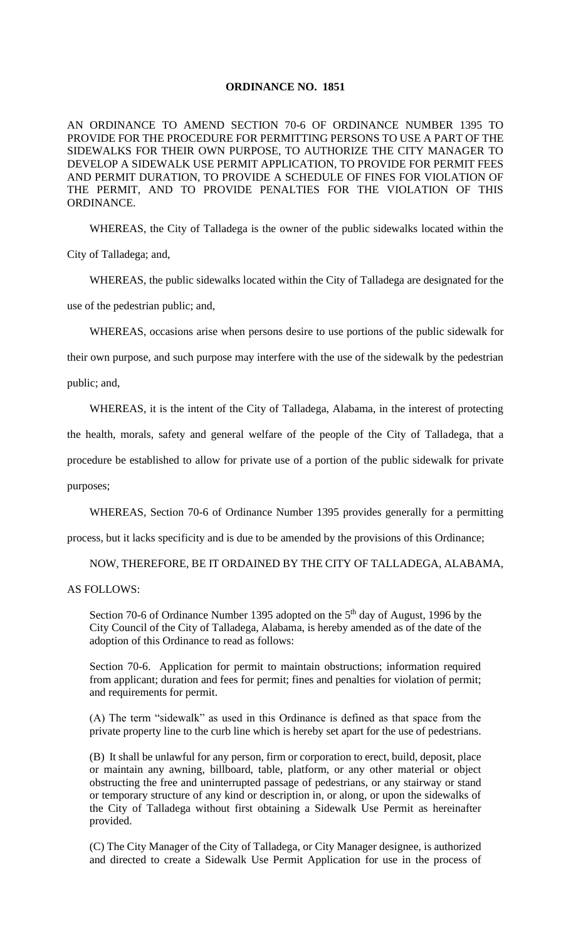## **ORDINANCE NO. 1851**

AN ORDINANCE TO AMEND SECTION 70-6 OF ORDINANCE NUMBER 1395 TO PROVIDE FOR THE PROCEDURE FOR PERMITTING PERSONS TO USE A PART OF THE SIDEWALKS FOR THEIR OWN PURPOSE, TO AUTHORIZE THE CITY MANAGER TO DEVELOP A SIDEWALK USE PERMIT APPLICATION, TO PROVIDE FOR PERMIT FEES AND PERMIT DURATION, TO PROVIDE A SCHEDULE OF FINES FOR VIOLATION OF THE PERMIT, AND TO PROVIDE PENALTIES FOR THE VIOLATION OF THIS ORDINANCE.

WHEREAS, the City of Talladega is the owner of the public sidewalks located within the

City of Talladega; and,

WHEREAS, the public sidewalks located within the City of Talladega are designated for the use of the pedestrian public; and,

WHEREAS, occasions arise when persons desire to use portions of the public sidewalk for

their own purpose, and such purpose may interfere with the use of the sidewalk by the pedestrian public; and,

WHEREAS, it is the intent of the City of Talladega, Alabama, in the interest of protecting

the health, morals, safety and general welfare of the people of the City of Talladega, that a

procedure be established to allow for private use of a portion of the public sidewalk for private

purposes;

WHEREAS, Section 70-6 of Ordinance Number 1395 provides generally for a permitting

process, but it lacks specificity and is due to be amended by the provisions of this Ordinance;

NOW, THEREFORE, BE IT ORDAINED BY THE CITY OF TALLADEGA, ALABAMA,

AS FOLLOWS:

Section 70-6 of Ordinance Number 1395 adopted on the  $5<sup>th</sup>$  day of August, 1996 by the City Council of the City of Talladega, Alabama, is hereby amended as of the date of the adoption of this Ordinance to read as follows:

Section 70-6. Application for permit to maintain obstructions; information required from applicant; duration and fees for permit; fines and penalties for violation of permit; and requirements for permit.

(A) The term "sidewalk" as used in this Ordinance is defined as that space from the private property line to the curb line which is hereby set apart for the use of pedestrians.

(B) It shall be unlawful for any person, firm or corporation to erect, build, deposit, place or maintain any awning, billboard, table, platform, or any other material or object obstructing the free and uninterrupted passage of pedestrians, or any stairway or stand or temporary structure of any kind or description in, or along, or upon the sidewalks of the City of Talladega without first obtaining a Sidewalk Use Permit as hereinafter provided.

(C) The City Manager of the City of Talladega, or City Manager designee, is authorized and directed to create a Sidewalk Use Permit Application for use in the process of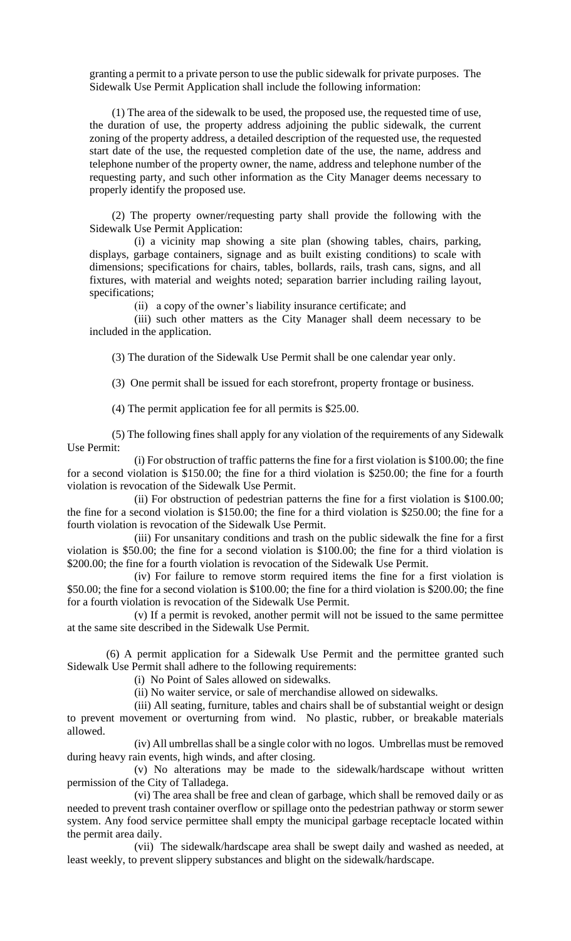granting a permit to a private person to use the public sidewalk for private purposes. The Sidewalk Use Permit Application shall include the following information:

(1) The area of the sidewalk to be used, the proposed use, the requested time of use, the duration of use, the property address adjoining the public sidewalk, the current zoning of the property address, a detailed description of the requested use, the requested start date of the use, the requested completion date of the use, the name, address and telephone number of the property owner, the name, address and telephone number of the requesting party, and such other information as the City Manager deems necessary to properly identify the proposed use.

(2) The property owner/requesting party shall provide the following with the Sidewalk Use Permit Application:

(i) a vicinity map showing a site plan (showing tables, chairs, parking, displays, garbage containers, signage and as built existing conditions) to scale with dimensions; specifications for chairs, tables, bollards, rails, trash cans, signs, and all fixtures, with material and weights noted; separation barrier including railing layout, specifications;

(ii) a copy of the owner's liability insurance certificate; and

(iii) such other matters as the City Manager shall deem necessary to be included in the application.

(3) The duration of the Sidewalk Use Permit shall be one calendar year only.

(3) One permit shall be issued for each storefront, property frontage or business.

(4) The permit application fee for all permits is \$25.00.

 (5) The following fines shall apply for any violation of the requirements of any Sidewalk Use Permit:

(i) For obstruction of traffic patterns the fine for a first violation is \$100.00; the fine for a second violation is \$150.00; the fine for a third violation is \$250.00; the fine for a fourth violation is revocation of the Sidewalk Use Permit.

(ii) For obstruction of pedestrian patterns the fine for a first violation is \$100.00; the fine for a second violation is \$150.00; the fine for a third violation is \$250.00; the fine for a fourth violation is revocation of the Sidewalk Use Permit.

(iii) For unsanitary conditions and trash on the public sidewalk the fine for a first violation is \$50.00; the fine for a second violation is \$100.00; the fine for a third violation is \$200.00; the fine for a fourth violation is revocation of the Sidewalk Use Permit.

(iv) For failure to remove storm required items the fine for a first violation is \$50.00; the fine for a second violation is \$100.00; the fine for a third violation is \$200.00; the fine for a fourth violation is revocation of the Sidewalk Use Permit.

(v) If a permit is revoked, another permit will not be issued to the same permittee at the same site described in the Sidewalk Use Permit.

 (6) A permit application for a Sidewalk Use Permit and the permittee granted such Sidewalk Use Permit shall adhere to the following requirements:

(i) No Point of Sales allowed on sidewalks.

(ii) No waiter service, or sale of merchandise allowed on sidewalks.

(iii) All seating, furniture, tables and chairs shall be of substantial weight or design to prevent movement or overturning from wind. No plastic, rubber, or breakable materials allowed.

(iv) All umbrellas shall be a single color with no logos. Umbrellas must be removed during heavy rain events, high winds, and after closing.

(v) No alterations may be made to the sidewalk/hardscape without written permission of the City of Talladega.

(vi) The area shall be free and clean of garbage, which shall be removed daily or as needed to prevent trash container overflow or spillage onto the pedestrian pathway or storm sewer system. Any food service permittee shall empty the municipal garbage receptacle located within the permit area daily.

(vii) The sidewalk/hardscape area shall be swept daily and washed as needed, at least weekly, to prevent slippery substances and blight on the sidewalk/hardscape.